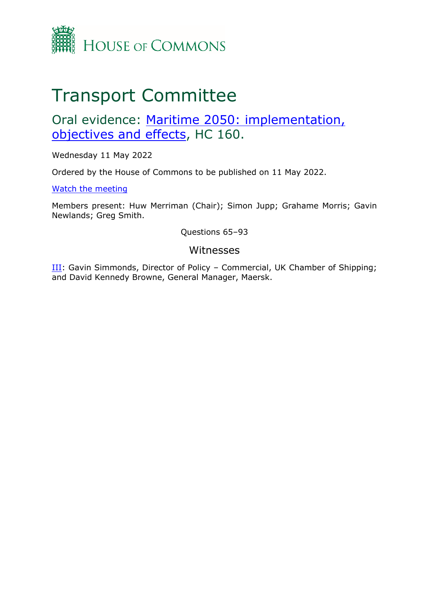

# Transport Committee

# Oral evidence: [Maritime](https://committees.parliament.uk/work/6555/maritime-2050-objectives-implementation-and-effects/) [2050:](https://committees.parliament.uk/work/6555/maritime-2050-objectives-implementation-and-effects/) [implementation,](https://committees.parliament.uk/work/6555/maritime-2050-objectives-implementation-and-effects/) [objectives](https://committees.parliament.uk/work/6555/maritime-2050-objectives-implementation-and-effects/) [and](https://committees.parliament.uk/work/6555/maritime-2050-objectives-implementation-and-effects/) [effects](https://committees.parliament.uk/work/6555/maritime-2050-objectives-implementation-and-effects/), HC 160.

Wednesday 11 May 2022

Ordered by the House of Commons to be published on 11 May 2022.

[Watch](https://parliamentlive.tv/event/index/2ddfa32a-5a83-4e3e-80e1-2a309a495e29?in=10:55:3533) [the](https://parliamentlive.tv/event/index/2ddfa32a-5a83-4e3e-80e1-2a309a495e29?in=10:55:3533) [meeting](https://parliamentlive.tv/event/index/2ddfa32a-5a83-4e3e-80e1-2a309a495e29?in=10:55:3533)

Members present: Huw Merriman (Chair); Simon Jupp; Grahame Morris; Gavin Newlands; Greg Smith.

Questions 65–93

### Witnesses

III: Gavin Simmonds, Director of Policy – Commercial, UK Chamber of Shipping; and David Kennedy Browne, General Manager, Maersk.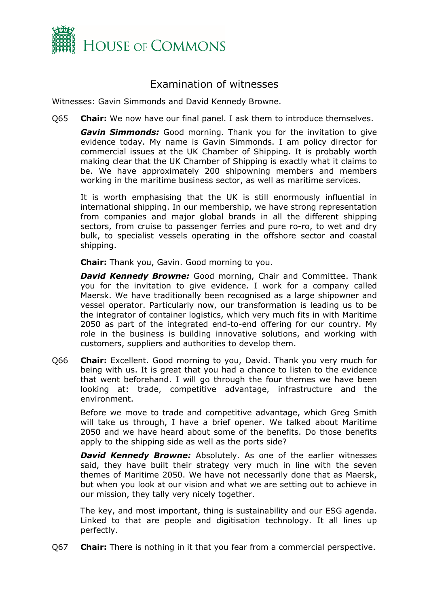

## Examination of witnesses

Witnesses: Gavin Simmonds and David Kennedy Browne.

Q65 **Chair:** We now have our final panel. I ask them to introduce themselves.

*Gavin Simmonds:* Good morning. Thank you for the invitation to give evidence today. My name is Gavin Simmonds. I am policy director for commercial issues at the UK Chamber of Shipping. It is probably worth making clear that the UK Chamber of Shipping is exactly what it claims to be. We have approximately 200 shipowning members and members working in the maritime business sector, as well as maritime services.

It is worth emphasising that the UK is still enormously influential in international shipping. In our membership, we have strong representation from companies and major global brands in all the different shipping sectors, from cruise to passenger ferries and pure ro-ro, to wet and dry bulk, to specialist vessels operating in the offshore sector and coastal shipping.

**Chair:** Thank you, Gavin. Good morning to you.

*David Kennedy Browne:* Good morning, Chair and Committee. Thank you for the invitation to give evidence. I work for a company called Maersk. We have traditionally been recognised as a large shipowner and vessel operator. Particularly now, our transformation is leading us to be the integrator of container logistics, which very much fits in with Maritime 2050 as part of the integrated end-to-end offering for our country. My role in the business is building innovative solutions, and working with customers, suppliers and authorities to develop them.

Q66 **Chair:** Excellent. Good morning to you, David. Thank you very much for being with us. It is great that you had a chance to listen to the evidence that went beforehand. I will go through the four themes we have been looking at: trade, competitive advantage, infrastructure and the environment.

Before we move to trade and competitive advantage, which Greg Smith will take us through, I have a brief opener. We talked about Maritime 2050 and we have heard about some of the benefits. Do those benefits apply to the shipping side as well as the ports side?

*David Kennedy Browne: Absolutely. As one of the earlier witnesses* said, they have built their strategy very much in line with the seven themes of Maritime 2050. We have not necessarily done that as Maersk, but when you look at our vision and what we are setting out to achieve in our mission, they tally very nicely together.

The key, and most important, thing is sustainability and our ESG agenda. Linked to that are people and digitisation technology. It all lines up perfectly.

Q67 **Chair:** There is nothing in it that you fear from a commercial perspective.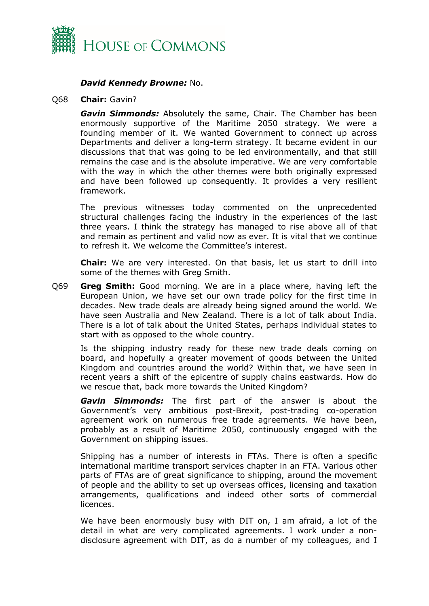

#### *David Kennedy Browne:* No.

#### Q68 **Chair:** Gavin?

*Gavin Simmonds:* Absolutely the same, Chair. The Chamber has been enormously supportive of the Maritime 2050 strategy. We were a founding member of it. We wanted Government to connect up across Departments and deliver a long-term strategy. It became evident in our discussions that that was going to be led environmentally, and that still remains the case and is the absolute imperative. We are very comfortable with the way in which the other themes were both originally expressed and have been followed up consequently. It provides a very resilient framework.

The previous witnesses today commented on the unprecedented structural challenges facing the industry in the experiences of the last three years. I think the strategy has managed to rise above all of that and remain as pertinent and valid now as ever. It is vital that we continue to refresh it. We welcome the Committee's interest.

**Chair:** We are very interested. On that basis, let us start to drill into some of the themes with Greg Smith.

Q69 **Greg Smith:** Good morning. We are in a place where, having left the European Union, we have set our own trade policy for the first time in decades. New trade deals are already being signed around the world. We have seen Australia and New Zealand. There is a lot of talk about India. There is a lot of talk about the United States, perhaps individual states to start with as opposed to the whole country.

Is the shipping industry ready for these new trade deals coming on board, and hopefully a greater movement of goods between the United Kingdom and countries around the world? Within that, we have seen in recent years a shift of the epicentre of supply chains eastwards. How do we rescue that, back more towards the United Kingdom?

*Gavin Simmonds:* The first part of the answer is about the Government's very ambitious post-Brexit, post-trading co-operation agreement work on numerous free trade agreements. We have been, probably as a result of Maritime 2050, continuously engaged with the Government on shipping issues.

Shipping has a number of interests in FTAs. There is often a specific international maritime transport services chapter in an FTA. Various other parts of FTAs are of great significance to shipping, around the movement of people and the ability to set up overseas offices, licensing and taxation arrangements, qualifications and indeed other sorts of commercial licences.

We have been enormously busy with DIT on, I am afraid, a lot of the detail in what are very complicated agreements. I work under a nondisclosure agreement with DIT, as do a number of my colleagues, and I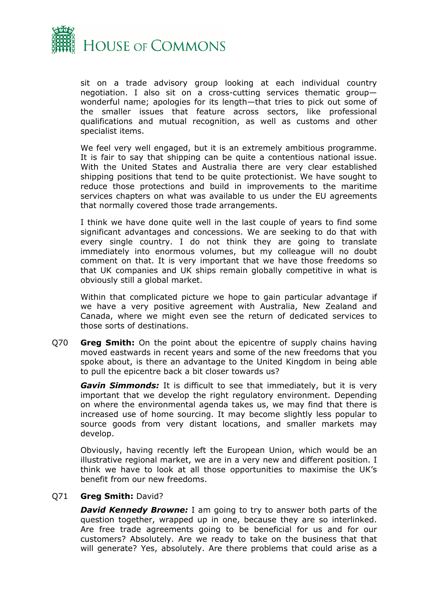

sit on a trade advisory group looking at each individual country negotiation. I also sit on a cross-cutting services thematic group wonderful name; apologies for its length—that tries to pick out some of the smaller issues that feature across sectors, like professional qualifications and mutual recognition, as well as customs and other specialist items.

We feel very well engaged, but it is an extremely ambitious programme. It is fair to say that shipping can be quite a contentious national issue. With the United States and Australia there are very clear established shipping positions that tend to be quite protectionist. We have sought to reduce those protections and build in improvements to the maritime services chapters on what was available to us under the EU agreements that normally covered those trade arrangements.

I think we have done quite well in the last couple of years to find some significant advantages and concessions. We are seeking to do that with every single country. I do not think they are going to translate immediately into enormous volumes, but my colleague will no doubt comment on that. It is very important that we have those freedoms so that UK companies and UK ships remain globally competitive in what is obviously still a global market.

Within that complicated picture we hope to gain particular advantage if we have a very positive agreement with Australia, New Zealand and Canada, where we might even see the return of dedicated services to those sorts of destinations.

Q70 **Greg Smith:** On the point about the epicentre of supply chains having moved eastwards in recent years and some of the new freedoms that you spoke about, is there an advantage to the United Kingdom in being able to pull the epicentre back a bit closer towards us?

*Gavin Simmonds:* It is difficult to see that immediately, but it is very important that we develop the right regulatory environment. Depending on where the environmental agenda takes us, we may find that there is increased use of home sourcing. It may become slightly less popular to source goods from very distant locations, and smaller markets may develop.

Obviously, having recently left the European Union, which would be an illustrative regional market, we are in a very new and different position. I think we have to look at all those opportunities to maximise the UK's benefit from our new freedoms.

#### Q71 **Greg Smith:** David?

*David Kennedy Browne:* I am going to try to answer both parts of the question together, wrapped up in one, because they are so interlinked. Are free trade agreements going to be beneficial for us and for our customers? Absolutely. Are we ready to take on the business that that will generate? Yes, absolutely. Are there problems that could arise as a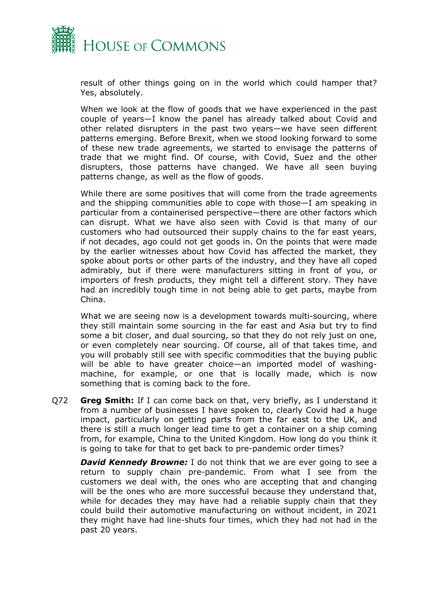

result of other things going on in the world which could hamper that? Yes, absolutely.

When we look at the flow of goods that we have experienced in the past couple of years—I know the panel has already talked about Covid and other related disrupters in the past two years—we have seen different patterns emerging. Before Brexit, when we stood looking forward to some of these new trade agreements, we started to envisage the patterns of trade that we might find. Of course, with Covid, Suez and the other disrupters, those patterns have changed. We have all seen buying patterns change, as well as the flow of goods.

While there are some positives that will come from the trade agreements and the shipping communities able to cope with those—I am speaking in particular from a containerised perspective—there are other factors which can disrupt. What we have also seen with Covid is that many of our customers who had outsourced their supply chains to the far east years, if not decades, ago could not get goods in. On the points that were made by the earlier witnesses about how Covid has affected the market, they spoke about ports or other parts of the industry, and they have all coped admirably, but if there were manufacturers sitting in front of you, or importers of fresh products, they might tell a different story. They have had an incredibly tough time in not being able to get parts, maybe from China.

What we are seeing now is a development towards multi-sourcing, where they still maintain some sourcing in the far east and Asia but try to find some a bit closer, and dual sourcing, so that they do not rely just on one, or even completely near sourcing. Of course, all of that takes time, and you will probably still see with specific commodities that the buying public will be able to have greater choice—an imported model of washingmachine, for example, or one that is locally made, which is now something that is coming back to the fore.

Q72 **Greg Smith:** If I can come back on that, very briefly, as I understand it from a number of businesses I have spoken to, clearly Covid had a huge impact, particularly on getting parts from the far east to the UK, and there is still a much longer lead time to get a container on a ship coming from, for example, China to the United Kingdom. How long do you think it is going to take for that to get back to pre-pandemic order times?

*David Kennedy Browne:* I do not think that we are ever going to see a return to supply chain pre-pandemic. From what I see from the customers we deal with, the ones who are accepting that and changing will be the ones who are more successful because they understand that, while for decades they may have had a reliable supply chain that they could build their automotive manufacturing on without incident, in 2021 they might have had line-shuts four times, which they had not had in the past 20 years.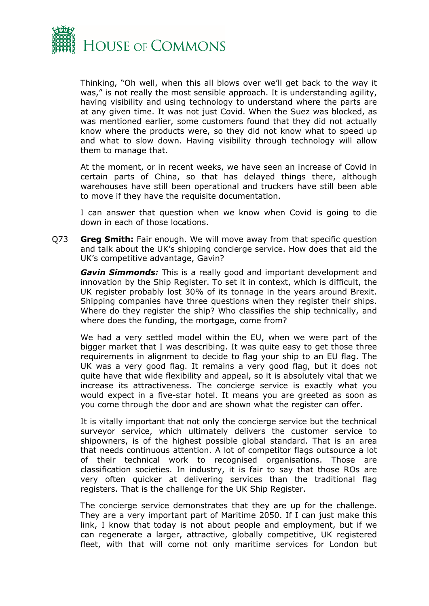

Thinking, "Oh well, when this all blows over we'll get back to the way it was," is not really the most sensible approach. It is understanding agility, having visibility and using technology to understand where the parts are at any given time. It was not just Covid. When the Suez was blocked, as was mentioned earlier, some customers found that they did not actually know where the products were, so they did not know what to speed up and what to slow down. Having visibility through technology will allow them to manage that.

At the moment, or in recent weeks, we have seen an increase of Covid in certain parts of China, so that has delayed things there, although warehouses have still been operational and truckers have still been able to move if they have the requisite documentation.

I can answer that question when we know when Covid is going to die down in each of those locations.

Q73 **Greg Smith:** Fair enough. We will move away from that specific question and talk about the UK's shipping concierge service. How does that aid the UK's competitive advantage, Gavin?

*Gavin Simmonds:* This is a really good and important development and innovation by the Ship Register. To set it in context, which is difficult, the UK register probably lost 30% of its tonnage in the years around Brexit. Shipping companies have three questions when they register their ships. Where do they register the ship? Who classifies the ship technically, and where does the funding, the mortgage, come from?

We had a very settled model within the EU, when we were part of the bigger market that I was describing. It was quite easy to get those three requirements in alignment to decide to flag your ship to an EU flag. The UK was a very good flag. It remains a very good flag, but it does not quite have that wide flexibility and appeal, so it is absolutely vital that we increase its attractiveness. The concierge service is exactly what you would expect in a five-star hotel. It means you are greeted as soon as you come through the door and are shown what the register can offer.

It is vitally important that not only the concierge service but the technical surveyor service, which ultimately delivers the customer service to shipowners, is of the highest possible global standard. That is an area that needs continuous attention. A lot of competitor flags outsource a lot of their technical work to recognised organisations. Those are classification societies. In industry, it is fair to say that those ROs are very often quicker at delivering services than the traditional flag registers. That is the challenge for the UK Ship Register.

The concierge service demonstrates that they are up for the challenge. They are a very important part of Maritime 2050. If I can just make this link, I know that today is not about people and employment, but if we can regenerate a larger, attractive, globally competitive, UK registered fleet, with that will come not only maritime services for London but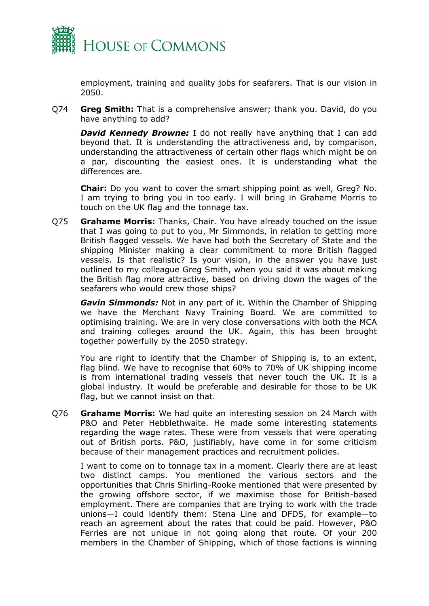

employment, training and quality jobs for seafarers. That is our vision in 2050.

Q74 **Greg Smith:** That is a comprehensive answer; thank you. David, do you have anything to add?

*David Kennedy Browne:* I do not really have anything that I can add beyond that. It is understanding the attractiveness and, by comparison, understanding the attractiveness of certain other flags which might be on a par, discounting the easiest ones. It is understanding what the differences are.

**Chair:** Do you want to cover the smart shipping point as well, Greg? No. I am trying to bring you in too early. I will bring in Grahame Morris to touch on the UK flag and the tonnage tax.

Q75 **Grahame Morris:** Thanks, Chair. You have already touched on the issue that I was going to put to you, Mr Simmonds, in relation to getting more British flagged vessels. We have had both the Secretary of State and the shipping Minister making a clear commitment to more British flagged vessels. Is that realistic? Is your vision, in the answer you have just outlined to my colleague Greg Smith, when you said it was about making the British flag more attractive, based on driving down the wages of the seafarers who would crew those ships?

*Gavin Simmonds:* Not in any part of it. Within the Chamber of Shipping we have the Merchant Navy Training Board. We are committed to optimising training. We are in very close conversations with both the MCA and training colleges around the UK. Again, this has been brought together powerfully by the 2050 strategy.

You are right to identify that the Chamber of Shipping is, to an extent, flag blind. We have to recognise that 60% to 70% of UK shipping income is from international trading vessels that never touch the UK. It is a global industry. It would be preferable and desirable for those to be UK flag, but we cannot insist on that.

Q76 **Grahame Morris:** We had quite an interesting session on 24 March with P&O and Peter Hebblethwaite. He made some interesting statements regarding the wage rates. These were from vessels that were operating out of British ports. P&O, justifiably, have come in for some criticism because of their management practices and recruitment policies.

I want to come on to tonnage tax in a moment. Clearly there are at least two distinct camps. You mentioned the various sectors and the opportunities that Chris Shirling-Rooke mentioned that were presented by the growing offshore sector, if we maximise those for British-based employment. There are companies that are trying to work with the trade unions—I could identify them: Stena Line and DFDS, for example—to reach an agreement about the rates that could be paid. However, P&O Ferries are not unique in not going along that route. Of your 200 members in the Chamber of Shipping, which of those factions is winning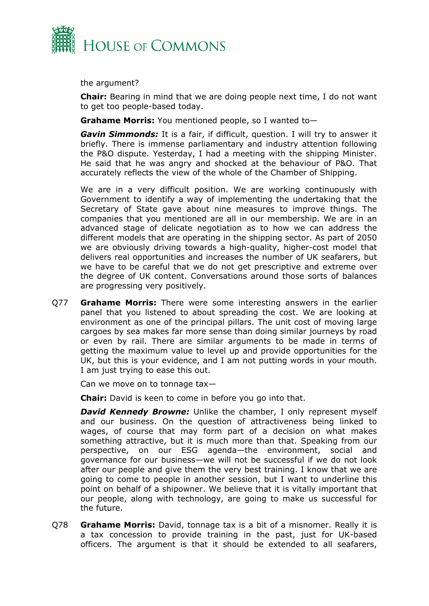

the argument?

**Chair:** Bearing in mind that we are doing people next time, I do not want to get too people-based today.

**Grahame Morris:** You mentioned people, so I wanted to—

*Gavin Simmonds:* It is a fair, if difficult, question. I will try to answer it briefly. There is immense parliamentary and industry attention following the P&O dispute. Yesterday, I had a meeting with the shipping Minister. He said that he was angry and shocked at the behaviour of P&O. That accurately reflects the view of the whole of the Chamber of Shipping.

We are in a very difficult position. We are working continuously with Government to identify a way of implementing the undertaking that the Secretary of State gave about nine measures to improve things. The companies that you mentioned are all in our membership. We are in an advanced stage of delicate negotiation as to how we can address the different models that are operating in the shipping sector. As part of 2050 we are obviously driving towards a high-quality, higher-cost model that delivers real opportunities and increases the number of UK seafarers, but we have to be careful that we do not get prescriptive and extreme over the degree of UK content. Conversations around those sorts of balances are progressing very positively.

Q77 **Grahame Morris:** There were some interesting answers in the earlier panel that you listened to about spreading the cost. We are looking at environment as one of the principal pillars. The unit cost of moving large cargoes by sea makes far more sense than doing similar journeys by road or even by rail. There are similar arguments to be made in terms of getting the maximum value to level up and provide opportunities for the UK, but this is your evidence, and I am not putting words in your mouth. I am just trying to ease this out.

Can we move on to tonnage tax—

**Chair:** David is keen to come in before you go into that.

*David Kennedy Browne: Unlike the chamber, I only represent myself* and our business. On the question of attractiveness being linked to wages, of course that may form part of a decision on what makes something attractive, but it is much more than that. Speaking from our perspective, on our ESG agenda—the environment, social and governance for our business—we will not be successful if we do not look after our people and give them the very best training. I know that we are going to come to people in another session, but I want to underline this point on behalf of a shipowner. We believe that it is vitally important that our people, along with technology, are going to make us successful for the future.

Q78 **Grahame Morris:** David, tonnage tax is a bit of a misnomer. Really it is a tax concession to provide training in the past, just for UK-based officers. The argument is that it should be extended to all seafarers,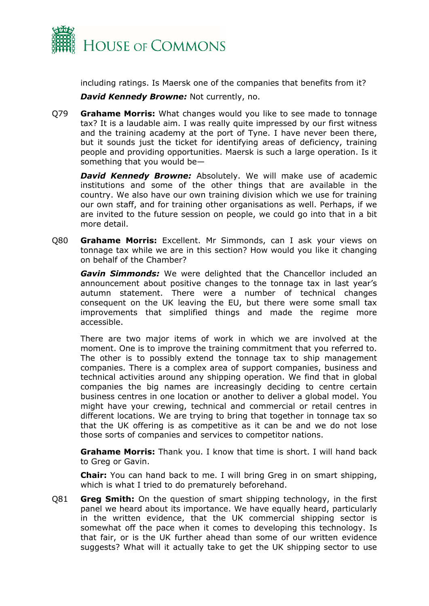

including ratings. Is Maersk one of the companies that benefits from it?

*David Kennedy Browne:* Not currently, no.

Q79 **Grahame Morris:** What changes would you like to see made to tonnage tax? It is a laudable aim. I was really quite impressed by our first witness and the training academy at the port of Tyne. I have never been there, but it sounds just the ticket for identifying areas of deficiency, training people and providing opportunities. Maersk is such a large operation. Is it something that you would be—

*David Kennedy Browne: Absolutely. We will make use of academic* institutions and some of the other things that are available in the country. We also have our own training division which we use for training our own staff, and for training other organisations as well. Perhaps, if we are invited to the future session on people, we could go into that in a bit more detail.

Q80 **Grahame Morris:** Excellent. Mr Simmonds, can I ask your views on tonnage tax while we are in this section? How would you like it changing on behalf of the Chamber?

*Gavin Simmonds:* We were delighted that the Chancellor included an announcement about positive changes to the tonnage tax in last year's autumn statement. There were a number of technical changes consequent on the UK leaving the EU, but there were some small tax improvements that simplified things and made the regime more accessible.

There are two major items of work in which we are involved at the moment. One is to improve the training commitment that you referred to. The other is to possibly extend the tonnage tax to ship management companies. There is a complex area of support companies, business and technical activities around any shipping operation. We find that in global companies the big names are increasingly deciding to centre certain business centres in one location or another to deliver a global model. You might have your crewing, technical and commercial or retail centres in different locations. We are trying to bring that together in tonnage tax so that the UK offering is as competitive as it can be and we do not lose those sorts of companies and services to competitor nations.

**Grahame Morris:** Thank you. I know that time is short. I will hand back to Greg or Gavin.

**Chair:** You can hand back to me. I will bring Greg in on smart shipping, which is what I tried to do prematurely beforehand.

Q81 **Greg Smith:** On the question of smart shipping technology, in the first panel we heard about its importance. We have equally heard, particularly in the written evidence, that the UK commercial shipping sector is somewhat off the pace when it comes to developing this technology. Is that fair, or is the UK further ahead than some of our written evidence suggests? What will it actually take to get the UK shipping sector to use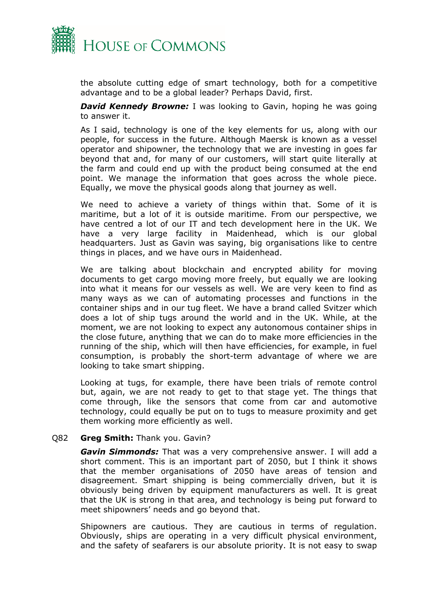

the absolute cutting edge of smart technology, both for a competitive advantage and to be a global leader? Perhaps David, first.

*David Kennedy Browne:* I was looking to Gavin, hoping he was going to answer it.

As I said, technology is one of the key elements for us, along with our people, for success in the future. Although Maersk is known as a vessel operator and shipowner, the technology that we are investing in goes far beyond that and, for many of our customers, will start quite literally at the farm and could end up with the product being consumed at the end point. We manage the information that goes across the whole piece. Equally, we move the physical goods along that journey as well.

We need to achieve a variety of things within that. Some of it is maritime, but a lot of it is outside maritime. From our perspective, we have centred a lot of our IT and tech development here in the UK. We have a very large facility in Maidenhead, which is our global headquarters. Just as Gavin was saying, big organisations like to centre things in places, and we have ours in Maidenhead.

We are talking about blockchain and encrypted ability for moving documents to get cargo moving more freely, but equally we are looking into what it means for our vessels as well. We are very keen to find as many ways as we can of automating processes and functions in the container ships and in our tug fleet. We have a brand called Svitzer which does a lot of ship tugs around the world and in the UK. While, at the moment, we are not looking to expect any autonomous container ships in the close future, anything that we can do to make more efficiencies in the running of the ship, which will then have efficiencies, for example, in fuel consumption, is probably the short-term advantage of where we are looking to take smart shipping.

Looking at tugs, for example, there have been trials of remote control but, again, we are not ready to get to that stage yet. The things that come through, like the sensors that come from car and automotive technology, could equally be put on to tugs to measure proximity and get them working more efficiently as well.

#### Q82 **Greg Smith:** Thank you. Gavin?

*Gavin Simmonds:* That was a very comprehensive answer. I will add a short comment. This is an important part of 2050, but I think it shows that the member organisations of 2050 have areas of tension and disagreement. Smart shipping is being commercially driven, but it is obviously being driven by equipment manufacturers as well. It is great that the UK is strong in that area, and technology is being put forward to meet shipowners' needs and go beyond that.

Shipowners are cautious. They are cautious in terms of regulation. Obviously, ships are operating in a very difficult physical environment, and the safety of seafarers is our absolute priority. It is not easy to swap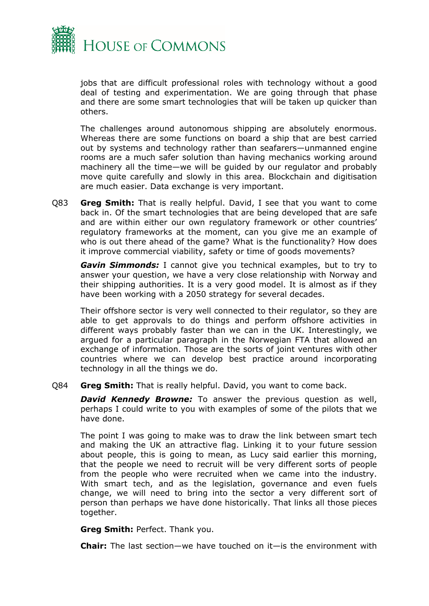

jobs that are difficult professional roles with technology without a good deal of testing and experimentation. We are going through that phase and there are some smart technologies that will be taken up quicker than others.

The challenges around autonomous shipping are absolutely enormous. Whereas there are some functions on board a ship that are best carried out by systems and technology rather than seafarers—unmanned engine rooms are a much safer solution than having mechanics working around machinery all the time—we will be guided by our regulator and probably move quite carefully and slowly in this area. Blockchain and digitisation are much easier. Data exchange is very important.

Q83 **Greg Smith:** That is really helpful. David, I see that you want to come back in. Of the smart technologies that are being developed that are safe and are within either our own regulatory framework or other countries' regulatory frameworks at the moment, can you give me an example of who is out there ahead of the game? What is the functionality? How does it improve commercial viability, safety or time of goods movements?

*Gavin Simmonds:* I cannot give you technical examples, but to try to answer your question, we have a very close relationship with Norway and their shipping authorities. It is a very good model. It is almost as if they have been working with a 2050 strategy for several decades.

Their offshore sector is very well connected to their regulator, so they are able to get approvals to do things and perform offshore activities in different ways probably faster than we can in the UK. Interestingly, we argued for a particular paragraph in the Norwegian FTA that allowed an exchange of information. Those are the sorts of joint ventures with other countries where we can develop best practice around incorporating technology in all the things we do.

Q84 **Greg Smith:** That is really helpful. David, you want to come back.

*David Kennedy Browne:* To answer the previous question as well, perhaps I could write to you with examples of some of the pilots that we have done.

The point I was going to make was to draw the link between smart tech and making the UK an attractive flag. Linking it to your future session about people, this is going to mean, as Lucy said earlier this morning, that the people we need to recruit will be very different sorts of people from the people who were recruited when we came into the industry. With smart tech, and as the legislation, governance and even fuels change, we will need to bring into the sector a very different sort of person than perhaps we have done historically. That links all those pieces together.

**Greg Smith:** Perfect. Thank you.

**Chair:** The last section—we have touched on it—is the environment with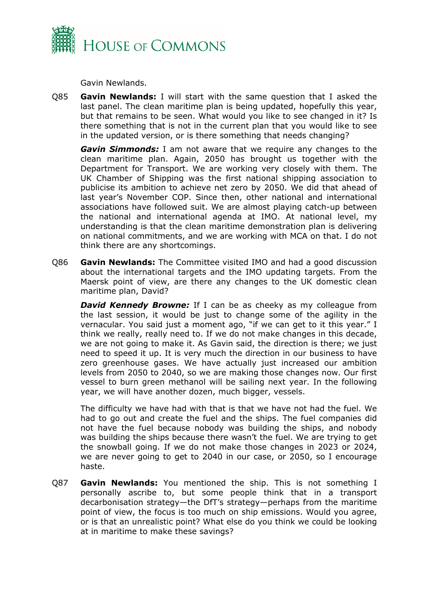

Gavin Newlands.

Q85 **Gavin Newlands:** I will start with the same question that I asked the last panel. The clean maritime plan is being updated, hopefully this year, but that remains to be seen. What would you like to see changed in it? Is there something that is not in the current plan that you would like to see in the updated version, or is there something that needs changing?

*Gavin Simmonds:* I am not aware that we require any changes to the clean maritime plan. Again, 2050 has brought us together with the Department for Transport. We are working very closely with them. The UK Chamber of Shipping was the first national shipping association to publicise its ambition to achieve net zero by 2050. We did that ahead of last year's November COP. Since then, other national and international associations have followed suit. We are almost playing catch-up between the national and international agenda at IMO. At national level, my understanding is that the clean maritime demonstration plan is delivering on national commitments, and we are working with MCA on that. I do not think there are any shortcomings.

Q86 **Gavin Newlands:** The Committee visited IMO and had a good discussion about the international targets and the IMO updating targets. From the Maersk point of view, are there any changes to the UK domestic clean maritime plan, David?

*David Kennedy Browne:* If I can be as cheeky as my colleague from the last session, it would be just to change some of the agility in the vernacular. You said just a moment ago, "if we can get to it this year." I think we really, really need to. If we do not make changes in this decade, we are not going to make it. As Gavin said, the direction is there; we just need to speed it up. It is very much the direction in our business to have zero greenhouse gases. We have actually just increased our ambition levels from 2050 to 2040, so we are making those changes now. Our first vessel to burn green methanol will be sailing next year. In the following year, we will have another dozen, much bigger, vessels.

The difficulty we have had with that is that we have not had the fuel. We had to go out and create the fuel and the ships. The fuel companies did not have the fuel because nobody was building the ships, and nobody was building the ships because there wasn't the fuel. We are trying to get the snowball going. If we do not make those changes in 2023 or 2024, we are never going to get to 2040 in our case, or 2050, so I encourage haste.

Q87 **Gavin Newlands:** You mentioned the ship. This is not something I personally ascribe to, but some people think that in a transport decarbonisation strategy—the DfT's strategy—perhaps from the maritime point of view, the focus is too much on ship emissions. Would you agree, or is that an unrealistic point? What else do you think we could be looking at in maritime to make these savings?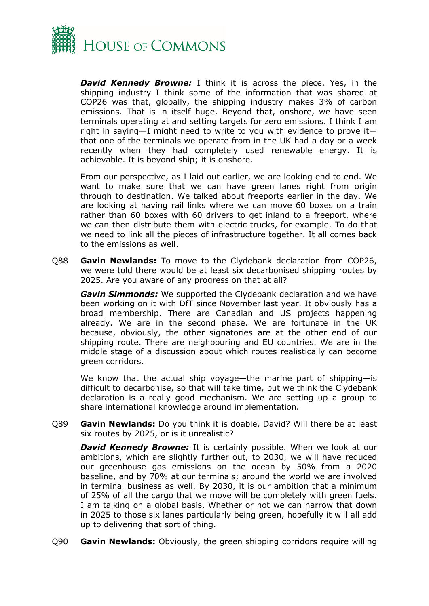

*David Kennedy Browne:* I think it is across the piece. Yes, in the shipping industry I think some of the information that was shared at COP26 was that, globally, the shipping industry makes 3% of carbon emissions. That is in itself huge. Beyond that, onshore, we have seen terminals operating at and setting targets for zero emissions. I think I am right in saying—I might need to write to you with evidence to prove it that one of the terminals we operate from in the UK had a day or a week recently when they had completely used renewable energy. It is achievable. It is beyond ship; it is onshore.

From our perspective, as I laid out earlier, we are looking end to end. We want to make sure that we can have green lanes right from origin through to destination. We talked about freeports earlier in the day. We are looking at having rail links where we can move 60 boxes on a train rather than 60 boxes with 60 drivers to get inland to a freeport, where we can then distribute them with electric trucks, for example. To do that we need to link all the pieces of infrastructure together. It all comes back to the emissions as well.

Q88 **Gavin Newlands:** To move to the Clydebank declaration from COP26, we were told there would be at least six decarbonised shipping routes by 2025. Are you aware of any progress on that at all?

*Gavin Simmonds:* We supported the Clydebank declaration and we have been working on it with DfT since November last year. It obviously has a broad membership. There are Canadian and US projects happening already. We are in the second phase. We are fortunate in the UK because, obviously, the other signatories are at the other end of our shipping route. There are neighbouring and EU countries. We are in the middle stage of a discussion about which routes realistically can become green corridors.

We know that the actual ship voyage—the marine part of shipping—is difficult to decarbonise, so that will take time, but we think the Clydebank declaration is a really good mechanism. We are setting up a group to share international knowledge around implementation.

Q89 **Gavin Newlands:** Do you think it is doable, David? Will there be at least six routes by 2025, or is it unrealistic?

*David Kennedy Browne:* It is certainly possible. When we look at our ambitions, which are slightly further out, to 2030, we will have reduced our greenhouse gas emissions on the ocean by 50% from a 2020 baseline, and by 70% at our terminals; around the world we are involved in terminal business as well. By 2030, it is our ambition that a minimum of 25% of all the cargo that we move will be completely with green fuels. I am talking on a global basis. Whether or not we can narrow that down in 2025 to those six lanes particularly being green, hopefully it will all add up to delivering that sort of thing.

Q90 **Gavin Newlands:** Obviously, the green shipping corridors require willing